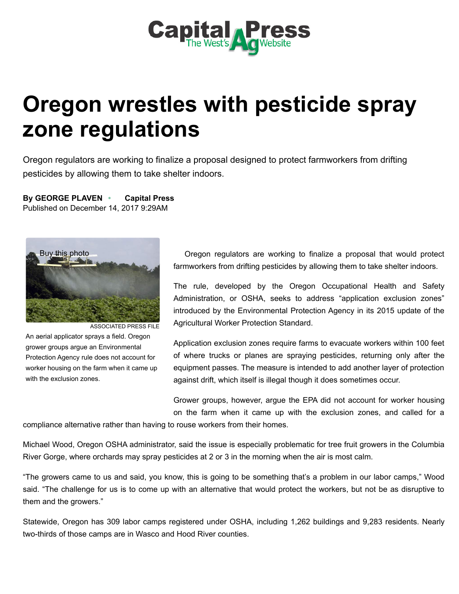

## Oregon wrestles with pesticide spray zone regulations

Oregon regulators are working to finalize a proposal designed to protect farmworkers from drifting pesticides by allowing them to take shelter indoors.

By GEORGE PLAVEN • Capital Press Published on December 14, 2017 9:29AM



ASSOCIATED PRESS FILE An aerial applicator sprays a field. Oregon grower groups argue an Environmental Protection Agency rule does not account for worker housing on the farm when it came up with the exclusion zones.

Oregon regulators are working to finalize a proposal that would protect farmworkers from drifting pesticides by allowing them to take shelter indoors.

The rule, developed by the Oregon Occupational Health and Safety Administration, or OSHA, seeks to address "application exclusion zones" introduced by the Environmental Protection Agency in its 2015 update of the Agricultural Worker Protection Standard.

Application exclusion zones require farms to evacuate workers within 100 feet of where trucks or planes are spraying pesticides, returning only after the equipment passes. The measure is intended to add another layer of protection against drift, which itself is illegal though it does sometimes occur.

Grower groups, however, argue the EPA did not account for worker housing on the farm when it came up with the exclusion zones, and called for a

compliance alternative rather than having to rouse workers from their homes.

Michael Wood, Oregon OSHA administrator, said the issue is especially problematic for tree fruit growers in the Columbia River Gorge, where orchards may spray pesticides at 2 or 3 in the morning when the air is most calm.

"The growers came to us and said, you know, this is going to be something that's a problem in our labor camps," Wood said. "The challenge for us is to come up with an alternative that would protect the workers, but not be as disruptive to them and the growers."

Statewide, Oregon has 309 labor camps registered under OSHA, including 1,262 buildings and 9,283 residents. Nearly two-thirds of those camps are in Wasco and Hood River counties.